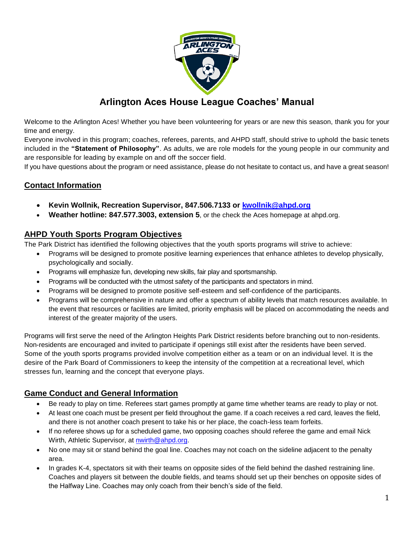

# **Arlington Aces House League Coaches' Manual**

Welcome to the Arlington Aces! Whether you have been volunteering for years or are new this season, thank you for your time and energy.

Everyone involved in this program; coaches, referees, parents, and AHPD staff, should strive to uphold the basic tenets included in the **"Statement of Philosophy"**. As adults, we are role models for the young people in our community and are responsible for leading by example on and off the soccer field.

If you have questions about the program or need assistance, please do not hesitate to contact us, and have a great season!

## **Contact Information**

- **Kevin Wollnik, Recreation Supervisor, 847.506.7133 or [kwollnik@ahpd.org](mailto:kwollnik@ahpd.org)**
- **Weather hotline: 847.577.3003, extension 5**, or the check the Aces homepage at ahpd.org.

### **AHPD Youth Sports Program Objectives**

The Park District has identified the following objectives that the youth sports programs will strive to achieve:

- Programs will be designed to promote positive learning experiences that enhance athletes to develop physically, psychologically and socially.
- Programs will emphasize fun, developing new skills, fair play and sportsmanship.
- Programs will be conducted with the utmost safety of the participants and spectators in mind.
- Programs will be designed to promote positive self-esteem and self-confidence of the participants.
- Programs will be comprehensive in nature and offer a spectrum of ability levels that match resources available. In the event that resources or facilities are limited, priority emphasis will be placed on accommodating the needs and interest of the greater majority of the users.

Programs will first serve the need of the Arlington Heights Park District residents before branching out to non-residents. Non-residents are encouraged and invited to participate if openings still exist after the residents have been served. Some of the youth sports programs provided involve competition either as a team or on an individual level. It is the desire of the Park Board of Commissioners to keep the intensity of the competition at a recreational level, which stresses fun, learning and the concept that everyone plays.

## **Game Conduct and General Information**

- Be ready to play on time. Referees start games promptly at game time whether teams are ready to play or not.
- At least one coach must be present per field throughout the game. If a coach receives a red card, leaves the field, and there is not another coach present to take his or her place, the coach-less team forfeits.
- If no referee shows up for a scheduled game, two opposing coaches should referee the game and email Nick Wirth, Athletic Supervisor, at [nwirth@ahpd.org.](mailto:nwirth@ahpd.org)
- No one may sit or stand behind the goal line. Coaches may not coach on the sideline adjacent to the penalty area.
- In grades K-4, spectators sit with their teams on opposite sides of the field behind the dashed restraining line. Coaches and players sit between the double fields, and teams should set up their benches on opposite sides of the Halfway Line. Coaches may only coach from their bench's side of the field.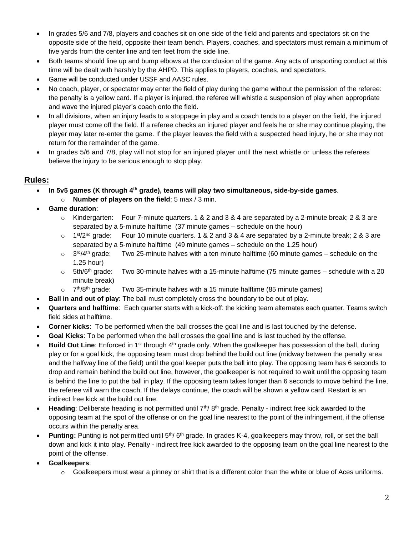- In grades 5/6 and 7/8, players and coaches sit on one side of the field and parents and spectators sit on the opposite side of the field, opposite their team bench. Players, coaches, and spectators must remain a minimum of five yards from the center line and ten feet from the side line.
- Both teams should line up and bump elbows at the conclusion of the game. Any acts of unsporting conduct at this time will be dealt with harshly by the AHPD. This applies to players, coaches, and spectators.
- Game will be conducted under USSF and AASC rules.
- No coach, player, or spectator may enter the field of play during the game without the permission of the referee: the penalty is a yellow card. If a player is injured, the referee will whistle a suspension of play when appropriate and wave the injured player's coach onto the field.
- In all divisions, when an injury leads to a stoppage in play and a coach tends to a player on the field, the injured player must come off the field. If a referee checks an injured player and feels he or she may continue playing, the player may later re-enter the game. If the player leaves the field with a suspected head injury, he or she may not return for the remainder of the game.
- In grades 5/6 and 7/8, play will not stop for an injured player until the next whistle or unless the referees believe the injury to be serious enough to stop play.

#### **Rules:**

- **In 5v5 games (K through 4th grade), teams will play two simultaneous, side-by-side games**. o **Number of players on the field**: 5 max / 3 min.
- **Game duration**:
	- $\circ$  Kindergarten: Four 7-minute quarters. 1 & 2 and 3 & 4 are separated by a 2-minute break; 2 & 3 are separated by a 5-minute halftime (37 minute games – schedule on the hour)
	- $\circ$  1<sup>st</sup>/2<sup>nd</sup> grade: Four 10 minute quarters. 1 & 2 and 3 & 4 are separated by a 2-minute break; 2 & 3 are separated by a 5-minute halftime (49 minute games – schedule on the 1.25 hour)
	- o 3rd/4th grade: Two 25-minute halves with a ten minute halftime (60 minute games – schedule on the 1.25 hour)
	- $\circ$  5th/6<sup>th</sup> grade: Two 30-minute halves with a 15-minute halftime (75 minute games schedule with a 20 minute break)
	- $\circ$  7<sup>th</sup>/8<sup>th</sup> grade: Two 35-minute halves with a 15 minute halftime (85 minute games)
	- **Ball in and out of play**: The ball must completely cross the boundary to be out of play.
- **Quarters and halftime**: Each quarter starts with a kick-off: the kicking team alternates each quarter. Teams switch field sides at halftime.
- **Corner kicks**: To be performed when the ball crosses the goal line and is last touched by the defense.
- **Goal Kicks**: To be performed when the ball crosses the goal line and is last touched by the offense.
- **Build Out Line**: Enforced in 1<sup>st</sup> through 4<sup>th</sup> grade only. When the goalkeeper has possession of the ball, during play or for a goal kick, the opposing team must drop behind the build out line (midway between the penalty area and the halfway line of the field) until the goal keeper puts the ball into play. The opposing team has 6 seconds to drop and remain behind the build out line, however, the goalkeeper is not required to wait until the opposing team is behind the line to put the ball in play. If the opposing team takes longer than 6 seconds to move behind the line, the referee will warn the coach. If the delays continue, the coach will be shown a yellow card. Restart is an indirect free kick at the build out line.
- **Heading**: Deliberate heading is not permitted until 7<sup>th</sup>/8<sup>th</sup> grade. Penalty indirect free kick awarded to the opposing team at the spot of the offense or on the goal line nearest to the point of the infringement, if the offense occurs within the penalty area.
- **Punting:** Punting is not permitted until 5th/ 6th grade. In grades K-4, goalkeepers may throw, roll, or set the ball down and kick it into play. Penalty - indirect free kick awarded to the opposing team on the goal line nearest to the point of the offense.
- **Goalkeepers**:
	- $\circ$  Goalkeepers must wear a pinney or shirt that is a different color than the white or blue of Aces uniforms.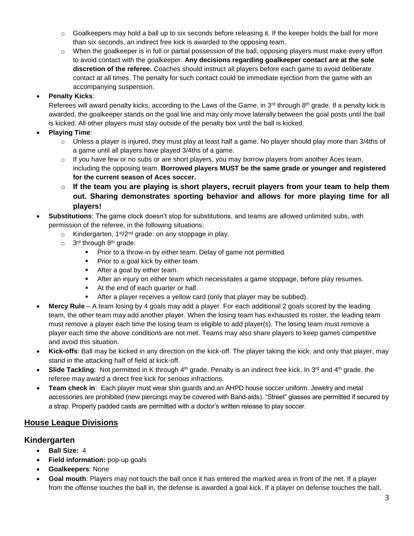- $\circ$  Goalkeepers may hold a ball up to six seconds before releasing it. If the keeper holds the ball for more than six seconds, an indirect free kick is awarded to the opposing team.
- o When the goalkeeper is in full or partial possession of the ball, opposing players must make every effort to avoid contact with the goalkeeper. **Any decisions regarding goalkeeper contact are at the sole discretion of the referee.** Coaches should instruct all players before each game to avoid deliberate contact at all times. The penalty for such contact could be immediate ejection from the game with an accompanying suspension.

### **Penalty Kicks**:

Referees will award penalty kicks, according to the Laws of the Game, in  $3^{rd}$  through  $8^{th}$  grade. If a penalty kick is awarded, the goalkeeper stands on the goal line and may only move laterally between the goal posts until the ball is kicked. All other players must stay outside of the penalty box until the ball is kicked.

- **Playing Time**:
	- o Unless a player is injured, they must play at least half a game. No player should play more than 3/4ths of a game until all players have played 3/4ths of a game.
	- $\circ$  If you have few or no subs or are short players, you may borrow players from another Aces team, including the opposing team. **Borrowed players MUST be the same grade or younger and registered for the current season of Aces soccer.**
	- o **If the team you are playing is short players, recruit players from your team to help them out. Sharing demonstrates sporting behavior and allows for more playing time for all players!**

#### **Substitutions**: The game clock doesn't stop for substitutions, and teams are allowed unlimited subs, with permission of the referee, in the following situations:

- $\circ$  Kindergarten, 1<sup>st</sup>/2<sup>nd</sup> grade: on any stoppage in play.
- o 3<sup>rd</sup> through 8<sup>th</sup> grade:
	- **Prior to a throw-in by either team. Delay of game not permitted.**
	- **Prior to a goal kick by either team.**
	- **After a goal by either team.**
	- **After an injury on either team which necessitates a game stoppage, before play resumes.**
	- At the end of each quarter or half.
	- After a player receives a yellow card (only that player may be subbed).
- **Mercy Rule** A team losing by 4 goals may add a player. For each additional 2 goals scored by the leading team, the other team may add another player. When the losing team has exhausted its roster, the leading team must remove a player each time the losing team is eligible to add player(s). The losing team must remove a player each time the above conditions are not met. Teams may also share players to keep games competitive and avoid this situation.
- **Kick-offs**: Ball may be kicked in any direction on the kick-off. The player taking the kick, and only that player, may stand in the attacking half of field at kick-off.
- **Slide Tackling**: Not permitted in K through 4<sup>th</sup> grade. Penalty is an indirect free kick. In 3<sup>rd</sup> and 4<sup>th</sup> grade, the referee may award a direct free kick for serious infractions.
- **Team check in**: Each player must wear shin guards and an AHPD house soccer uniform. Jewelry and metal accessories are prohibited (new piercings may be covered with Band-aids). "Street" glasses are permitted if secured by a strap. Properly padded casts are permitted with a doctor's written release to play soccer.

## **House League Divisions**

## **Kindergarten**

- **Ball Size:** 4
- **Field information:** pop-up goals
- **Goalkeepers**: None
- **Goal mouth**: Players may not touch the ball once it has entered the marked area in front of the net. If a player from the offense touches the ball in, the defense is awarded a goal kick. If a player on defense touches the ball,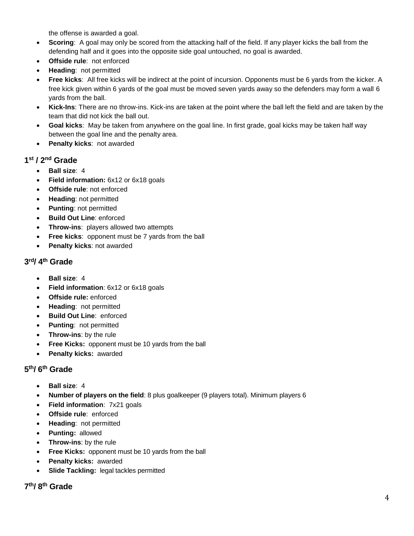the offense is awarded a goal.

- **Scoring**: A goal may only be scored from the attacking half of the field. If any player kicks the ball from the defending half and it goes into the opposite side goal untouched, no goal is awarded.
- **Offside rule**: not enforced
- **Heading**: not permitted
- **Free kicks**: All free kicks will be indirect at the point of incursion. Opponents must be 6 yards from the kicker. A free kick given within 6 yards of the goal must be moved seven yards away so the defenders may form a wall 6 yards from the ball.
- **Kick-Ins**: There are no throw-ins. Kick-ins are taken at the point where the ball left the field and are taken by the team that did not kick the ball out.
- **Goal kicks**: May be taken from anywhere on the goal line. In first grade, goal kicks may be taken half way between the goal line and the penalty area.
- **Penalty kicks**: not awarded

## **1 st / 2nd Grade**

- **Ball size**: 4
- **Field information:** 6x12 or 6x18 goals
- **Offside rule**: not enforced
- **Heading**: not permitted
- **Punting**: not permitted
- **Build Out Line**: enforced
- **Throw-ins**: players allowed two attempts
- **Free kicks**: opponent must be 7 yards from the ball
- **Penalty kicks**: not awarded

### **3 rd/ 4 th Grade**

- **Ball size**: 4
- **Field information**: 6x12 or 6x18 goals
- **Offside rule:** enforced
- **Heading**: not permitted
- **Build Out Line**: enforced
- **Punting**: not permitted
- **Throw-ins**: by the rule
- **Free Kicks:** opponent must be 10 yards from the ball
- **Penalty kicks:** awarded

## **5 th/ 6 th Grade**

- **Ball size**: 4
- **Number of players on the field**: 8 plus goalkeeper (9 players total). Minimum players 6
- **Field information**: 7x21 goals
- **Offside rule**: enforced
- **Heading**: not permitted
- **Punting:** allowed
- **Throw-ins**: by the rule
- **Free Kicks:** opponent must be 10 yards from the ball
- **Penalty kicks:** awarded
- **Slide Tackling:** legal tackles permitted

**7 th/ 8 th Grade**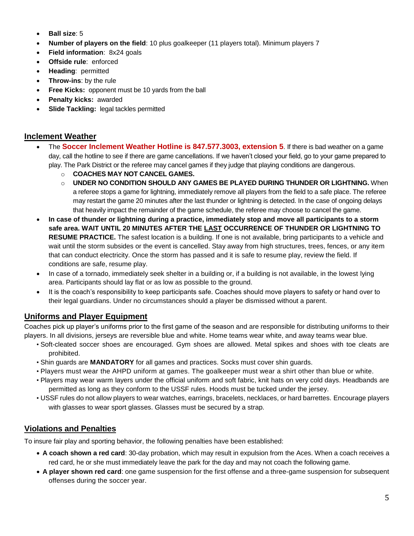- **Ball size**: 5
- **Number of players on the field**: 10 plus goalkeeper (11 players total). Minimum players 7
- **Field information**: 8x24 goals
- **Offside rule**: enforced
- **Heading**: permitted
- **Throw-ins**: by the rule
- **Free Kicks:** opponent must be 10 yards from the ball
- **Penalty kicks:** awarded
- **Slide Tackling:** legal tackles permitted

## **Inclement Weather**

- The **Soccer Inclement Weather Hotline is 847.577.3003, extension 5**. If there is bad weather on a game day, call the hotline to see if there are game cancellations. If we haven't closed your field, go to your game prepared to play. The Park District or the referee may cancel games if they judge that playing conditions are dangerous.
	- o **COACHES MAY NOT CANCEL GAMES.**
	- o **UNDER NO CONDITION SHOULD ANY GAMES BE PLAYED DURING THUNDER OR LIGHTNING.** When a referee stops a game for lightning, immediately remove all players from the field to a safe place. The referee may restart the game 20 minutes after the last thunder or lightning is detected. In the case of ongoing delays that heavily impact the remainder of the game schedule, the referee may choose to cancel the game.
- **In case of thunder or lightning during a practice, immediately stop and move all participants to a storm safe area. WAIT UNTIL 20 MINUTES AFTER THE LAST OCCURRENCE OF THUNDER OR LIGHTNING TO RESUME PRACTICE.** The safest location is a building. If one is not available, bring participants to a vehicle and wait until the storm subsides or the event is cancelled. Stay away from high structures, trees, fences, or any item that can conduct electricity. Once the storm has passed and it is safe to resume play, review the field. If conditions are safe, resume play.
- In case of a tornado, immediately seek shelter in a building or, if a building is not available, in the lowest lying area. Participants should lay flat or as low as possible to the ground.
- It is the coach's responsibility to keep participants safe. Coaches should move players to safety or hand over to their legal guardians. Under no circumstances should a player be dismissed without a parent.

## **Uniforms and Player Equipment**

Coaches pick up player's uniforms prior to the first game of the season and are responsible for distributing uniforms to their players. In all divisions, jerseys are reversible blue and white. Home teams wear white, and away teams wear blue.

- Soft-cleated soccer shoes are encouraged. Gym shoes are allowed. Metal spikes and shoes with toe cleats are prohibited.
- Shin guards are **MANDATORY** for all games and practices. Socks must cover shin guards.
- Players must wear the AHPD uniform at games. The goalkeeper must wear a shirt other than blue or white.
- Players may wear warm layers under the official uniform and soft fabric, knit hats on very cold days. Headbands are permitted as long as they conform to the USSF rules. Hoods must be tucked under the jersey.
- USSF rules do not allow players to wear watches, earrings, bracelets, necklaces, or hard barrettes. Encourage players with glasses to wear sport glasses. Glasses must be secured by a strap.

## **Violations and Penalties**

To insure fair play and sporting behavior, the following penalties have been established:

- **A coach shown a red card**: 30-day probation, which may result in expulsion from the Aces. When a coach receives a red card, he or she must immediately leave the park for the day and may not coach the following game.
- **A player shown red card**: one game suspension for the first offense and a three-game suspension for subsequent offenses during the soccer year.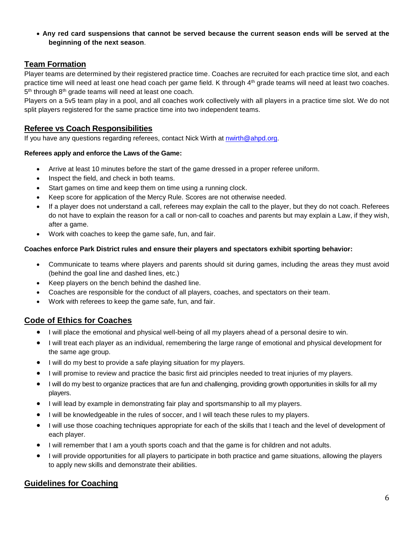**Any red card suspensions that cannot be served because the current season ends will be served at the beginning of the next season**.

## **Team Formation**

Player teams are determined by their registered practice time. Coaches are recruited for each practice time slot, and each practice time will need at least one head coach per game field. K through 4th grade teams will need at least two coaches. 5<sup>th</sup> through 8<sup>th</sup> grade teams will need at least one coach.

Players on a 5v5 team play in a pool, and all coaches work collectively with all players in a practice time slot. We do not split players registered for the same practice time into two independent teams.

## **Referee vs Coach Responsibilities**

If you have any questions regarding referees, contact Nick Wirth at [nwirth@ahpd.org.](mailto:nwirth@ahpd.org)

#### **Referees apply and enforce the Laws of the Game:**

- Arrive at least 10 minutes before the start of the game dressed in a proper referee uniform.
- Inspect the field, and check in both teams.
- Start games on time and keep them on time using a running clock.
- Keep score for application of the Mercy Rule. Scores are not otherwise needed.
- If a player does not understand a call, referees may explain the call to the player, but they do not coach. Referees do not have to explain the reason for a call or non-call to coaches and parents but may explain a Law, if they wish, after a game.
- Work with coaches to keep the game safe, fun, and fair.

#### **Coaches enforce Park District rules and ensure their players and spectators exhibit sporting behavior:**

- Communicate to teams where players and parents should sit during games, including the areas they must avoid (behind the goal line and dashed lines, etc.)
- Keep players on the bench behind the dashed line.
- Coaches are responsible for the conduct of all players, coaches, and spectators on their team.
- Work with referees to keep the game safe, fun, and fair.

## **Code of Ethics for Coaches**

- I will place the emotional and physical well-being of all my players ahead of a personal desire to win.
- I will treat each player as an individual, remembering the large range of emotional and physical development for the same age group.
- I will do my best to provide a safe playing situation for my players.
- I will promise to review and practice the basic first aid principles needed to treat injuries of my players.
- I will do my best to organize practices that are fun and challenging, providing growth opportunities in skills for all my players.
- I will lead by example in demonstrating fair play and sportsmanship to all my players.
- I will be knowledgeable in the rules of soccer, and I will teach these rules to my players.
- I will use those coaching techniques appropriate for each of the skills that I teach and the level of development of each player.
- I will remember that I am a youth sports coach and that the game is for children and not adults.
- I will provide opportunities for all players to participate in both practice and game situations, allowing the players to apply new skills and demonstrate their abilities.

## **Guidelines for Coaching**